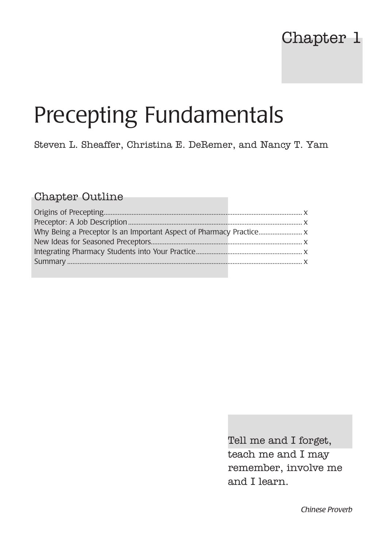## Chapter 1

# Precepting Fundamentals

Steven L. Sheaffer, Christina E. DeRemer, and Nancy T. Yam

## Chapter Outline

Tell me and I forget, teach me and I may remember, involve me and I learn.

*Chinese Proverb*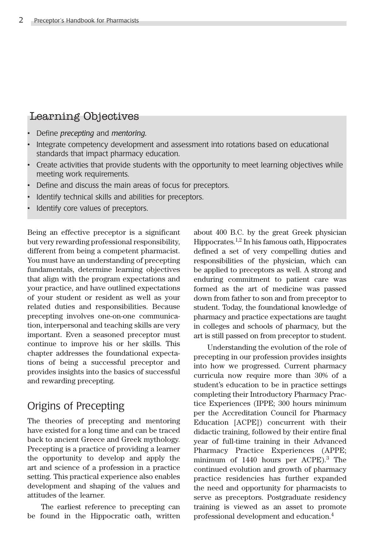## Learning Objectives

- Define *precepting* and *mentoring.*
- Integrate competency development and assessment into rotations based on educational standards that impact pharmacy education.
- Create activities that provide students with the opportunity to meet learning objectives while meeting work requirements.
- Define and discuss the main areas of focus for preceptors.
- Identify technical skills and abilities for preceptors.
- Identify core values of preceptors.

Being an effective preceptor is a significant but very rewarding professional responsibility, different from being a competent pharmacist. You must have an understanding of precepting fundamentals, determine learning objectives that align with the program expectations and your practice, and have outlined expectations of your student or resident as well as your related duties and responsibilities. Because precepting involves one-on-one communication, interpersonal and teaching skills are very important. Even a seasoned preceptor must continue to improve his or her skills. This chapter addresses the foundational expectations of being a successful preceptor and provides insights into the basics of successful and rewarding precepting.

## Origins of Precepting

The theories of precepting and mentoring have existed for a long time and can be traced back to ancient Greece and Greek mythology. Precepting is a practice of providing a learner the opportunity to develop and apply the art and science of a profession in a practice setting. This practical experience also enables development and shaping of the values and attitudes of the learner.

The earliest reference to precepting can be found in the Hippocratic oath, written

about 400 B.C. by the great Greek physician Hippocrates.1,2 In his famous oath, Hippocrates defined a set of very compelling duties and responsibilities of the physician, which can be applied to preceptors as well. A strong and enduring commitment to patient care was formed as the art of medicine was passed down from father to son and from preceptor to student. Today, the foundational knowledge of pharmacy and practice expectations are taught in colleges and schools of pharmacy, but the art is still passed on from preceptor to student.

Understanding the evolution of the role of precepting in our profession provides insights into how we progressed. Current pharmacy curricula now require more than 30% of a student's education to be in practice settings completing their Introductory Pharmacy Practice Experiences (IPPE; 300 hours minimum per the Accreditation Council for Pharmacy Education [ACPE]) concurrent with their didactic training, followed by their entire final year of full-time training in their Advanced Pharmacy Practice Experiences (APPE; minimum of 1440 hours per ACPE).3 The continued evolution and growth of pharmacy practice residencies has further expanded the need and opportunity for pharmacists to serve as preceptors. Postgraduate residency training is viewed as an asset to promote professional development and education.4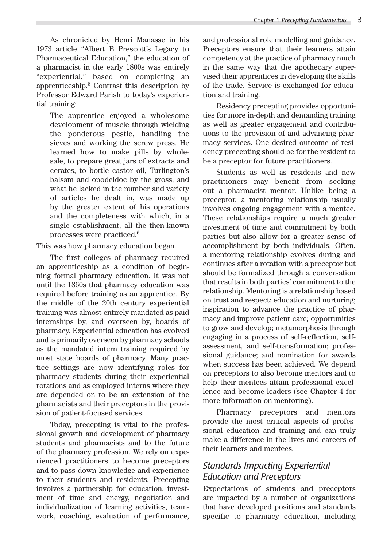As chronicled by Henri Manasse in his 1973 article "Albert B Prescott's Legacy to Pharmaceutical Education," the education of a pharmacist in the early 1800s was entirely "experiential," based on completing an apprenticeship.5 Contrast this description by Professor Edward Parish to today's experiential training:

The apprentice enjoyed a wholesome development of muscle through wielding the ponderous pestle, handling the sieves and working the screw press. He learned how to make pills by wholesale, to prepare great jars of extracts and cerates, to bottle castor oil, Turlington's balsam and opodeldoc by the gross, and what he lacked in the number and variety of articles he dealt in, was made up by the greater extent of his operations and the completeness with which, in a single establishment, all the then-known processes were practiced.6

This was how pharmacy education began.

The first colleges of pharmacy required an apprenticeship as a condition of beginning formal pharmacy education. It was not until the 1860s that pharmacy education was required before training as an apprentice. By the middle of the 20th century experiential training was almost entirely mandated as paid internships by, and overseen by, boards of pharmacy. Experiential education has evolved and is primarily overseen by pharmacy schools as the mandated intern training required by most state boards of pharmacy. Many practice settings are now identifying roles for pharmacy students during their experiential rotations and as employed interns where they are depended on to be an extension of the pharmacists and their preceptors in the provision of patient-focused services.

Today, precepting is vital to the professional growth and development of pharmacy students and pharmacists and to the future of the pharmacy profession. We rely on experienced practitioners to become preceptors and to pass down knowledge and experience to their students and residents. Precepting involves a partnership for education, investment of time and energy, negotiation and individualization of learning activities, teamwork, coaching, evaluation of performance,

and professional role modelling and guidance. Preceptors ensure that their learners attain competency at the practice of pharmacy much in the same way that the apothecary supervised their apprentices in developing the skills of the trade. Service is exchanged for education and training.

Residency precepting provides opportunities for more in-depth and demanding training as well as greater engagement and contributions to the provision of and advancing pharmacy services. One desired outcome of residency precepting should be for the resident to be a preceptor for future practitioners.

Students as well as residents and new practitioners may benefit from seeking out a pharmacist mentor. Unlike being a preceptor, a mentoring relationship usually involves ongoing engagement with a mentee. These relationships require a much greater investment of time and commitment by both parties but also allow for a greater sense of accomplishment by both individuals. Often, a mentoring relationship evolves during and continues after a rotation with a preceptor but should be formalized through a conversation that results in both parties' commitment to the relationship. Mentoring is a relationship based on trust and respect: education and nurturing; inspiration to advance the practice of pharmacy and improve patient care; opportunities to grow and develop; metamorphosis through engaging in a process of self-reflection, selfassessment, and self-transformation; professional guidance; and nomination for awards when success has been achieved. We depend on preceptors to also become mentors and to help their mentees attain professional excellence and become leaders (see Chapter 4 for more information on mentoring).

Pharmacy preceptors and mentors provide the most critical aspects of professional education and training and can truly make a difference in the lives and careers of their learners and mentees.

#### *Standards Impacting Experiential Education and Preceptors*

Expectations of students and preceptors are impacted by a number of organizations that have developed positions and standards specific to pharmacy education, including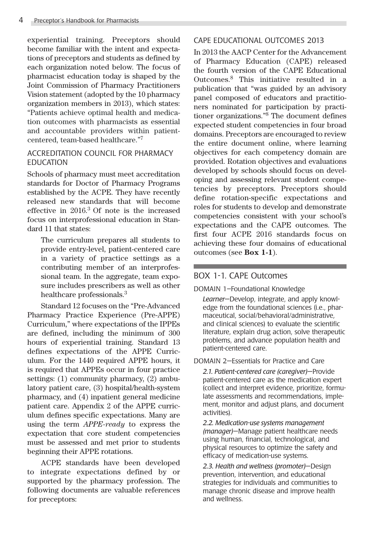experiential training. Preceptors should become familiar with the intent and expectations of preceptors and students as defined by each organization noted below. The focus of pharmacist education today is shaped by the Joint Commission of Pharmacy Practitioners Vision statement (adopted by the 10 pharmacy organization members in 2013), which states: "Patients achieve optimal health and medication outcomes with pharmacists as essential and accountable providers within patientcentered, team-based healthcare."7

#### ACCREDITATION COUNCIL FOR PHARMACY EDUCATION

Schools of pharmacy must meet accreditation standards for Doctor of Pharmacy Programs established by the ACPE. They have recently released new standards that will become effective in 2016.3 Of note is the increased focus on interprofessional education in Standard 11 that states:

The curriculum prepares all students to provide entry-level, patient-centered care in a variety of practice settings as a contributing member of an interprofessional team. In the aggregate, team exposure includes prescribers as well as other healthcare professionals.<sup>3</sup>

Standard 12 focuses on the "Pre-Advanced Pharmacy Practice Experience (Pre-APPE) Curriculum," where expectations of the IPPEs are defined, including the minimum of 300 hours of experiential training. Standard 13 defines expectations of the APPE Curriculum. For the 1440 required APPE hours, it is required that APPEs occur in four practice settings: (1) community pharmacy, (2) ambulatory patient care, (3) hospital/health-system pharmacy, and (4) inpatient general medicine patient care. Appendix 2 of the APPE curriculum defines specific expectations. Many are using the term *APPE-ready* to express the expectation that core student competencies must be assessed and met prior to students beginning their APPE rotations.

ACPE standards have been developed to integrate expectations defined by or supported by the pharmacy profession. The following documents are valuable references for preceptors:

#### CAPE EDUCATIONAL OUTCOMES 2013

In 2013 the AACP Center for the Advancement of Pharmacy Education (CAPE) released the fourth version of the CAPE Educational Outcomes.8 This initiative resulted in a publication that "was guided by an advisory panel composed of educators and practitioners nominated for participation by practitioner organizations."8 The document defines expected student competencies in four broad domains. Preceptors are encouraged to review the entire document online, where learning objectives for each competency domain are provided. Rotation objectives and evaluations developed by schools should focus on developing and assessing relevant student competencies by preceptors. Preceptors should define rotation-specific expectations and roles for students to develop and demonstrate competencies consistent with your school's expectations and the CAPE outcomes. The first four ACPE 2016 standards focus on achieving these four domains of educational outcomes (see **Box 1-1**).

#### BOX 1-1. CAPE Outcomes

DOMAIN 1–Foundational Knowledge

*Learner*—Develop, integrate, and apply knowledge from the foundational sciences (i.e., pharmaceutical, social/behavioral/administrative, and clinical sciences) to evaluate the scientific literature, explain drug action, solve therapeutic problems, and advance population health and patient-centered care.

#### DOMAIN 2—Essentials for Practice and Care

*2.1. Patient-centered care (caregiver)*—Provide patient-centered care as the medication expert (collect and interpret evidence, prioritize, formulate assessments and recommendations, implement, monitor and adjust plans, and document activities).

*2.2. Medication-use systems management (manager)*—Manage patient healthcare needs using human, financial, technological, and physical resources to optimize the safety and efficacy of medication-use systems.

*2.3. Health and wellness (promoter)*—Design prevention, intervention, and educational strategies for individuals and communities to manage chronic disease and improve health and wellness.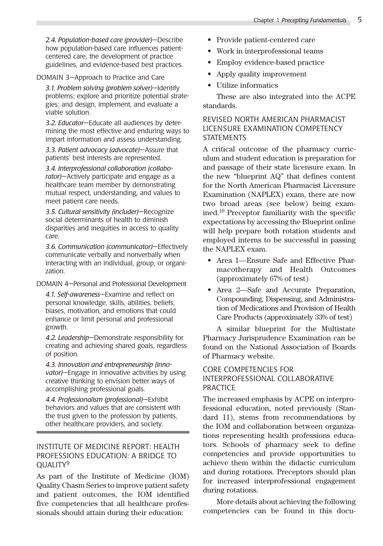*2.4. Population-based care (provider)*—Describe how population-based care influences patientcentered care, the development of practice guidelines, and evidence-based best practices.

DOMAIN 3—Approach to Practice and Care

*3.1. Problem solving (problem solver)*—Identify problems; explore and prioritize potential strategies; and design, implement, and evaluate a viable solution.

*3.2. Educator*—Educate all audiences by determining the most effective and enduring ways to impart information and assess understanding.

*3.3. Patient advocacy (advocate)*—Assure that patients' best interests are represented.

*3.4. Interprofessional collaboration (collaborator)*—Actively participate and engage as a healthcare team member by demonstrating mutual respect, understanding, and values to meet patient care needs.

*3.5. Cultural sensitivity (includer)*—Recognize social determinants of health to diminish disparities and inequities in access to quality care.

*3.6. Communication (communicator)*—Effectively communicate verbally and nonverbally when interacting with an individual, group, or organization.

DOMAIN 4—Personal and Professional Development

*4.1. Self-awareness*—Examine and reflect on personal knowledge, skills, abilities, beliefs, biases, motivation, and emotions that could enhance or limit personal and professional growth.

*4.2. Leadership*—Demonstrate responsibility for creating and achieving shared goals, regardless of position.

*4.3. Innovation and entrepreneurship (innovator)*—Engage in innovative activities by using creative thinking to envision better ways of accomplishing professional goals.

*4.4. Professionalism (professional)*—Exhibit behaviors and values that are consistent with the trust given to the profession by patients, other healthcare providers, and society.

#### INSTITUTE OF MEDICINE REPORT: HEALTH PROFESSIONS EDUCATION: A BRIDGE TO QUALITY9

As part of the Institute of Medicine (IOM) Quality Chasm Series to improve patient safety and patient outcomes, the IOM identified five competencies that all healthcare professionals should attain during their education:

- Provide patient-centered care
- Work in interprofessional teams
- Employ evidence-based practice
- Apply quality improvement
- Utilize informatics

These are also integrated into the ACPE standards.

#### REVISED NORTH AMERICAN PHARMACIST LICENSURE EXAMINATION COMPETENCY STATEMENTS

A critical outcome of the pharmacy curriculum and student education is preparation for and passage of their state licensure exam. In the new "blueprint AQ" that defines content for the North American Pharmacist Licensure Examination (NAPLEX) exam, there are now two broad areas (see below) being examined.10 Preceptor familiarity with the specific expectations by accessing the Blueprint online will help prepare both rotation students and employed interns to be successful in passing the NAPLEX exam.

- Area 1—Ensure Safe and Effective Pharmacotherapy and Health Outcomes (approximately 67% of test)
- Area 2—Safe and Accurate Preparation, Compounding, Dispensing, and Administration of Medications and Provision of Health Care Products (approximately 33% of test)

A similar blueprint for the Multistate Pharmacy Jurisprudence Examination can be found on the National Association of Boards of Pharmacy website.

#### CORE COMPETENCIES FOR INTERPROFESSIONAL COLLABORATIVE PRACTICE

The increased emphasis by ACPE on interprofessional education, noted previously (Standard 11), stems from recommendations by the IOM and collaboration between organizations representing health professions educators. Schools of pharmacy seek to define competencies and provide opportunities to achieve them within the didactic curriculum and during rotations. Preceptors should plan for increased interprofessional engagement during rotations.

More details about achieving the following competencies can be found in this docu-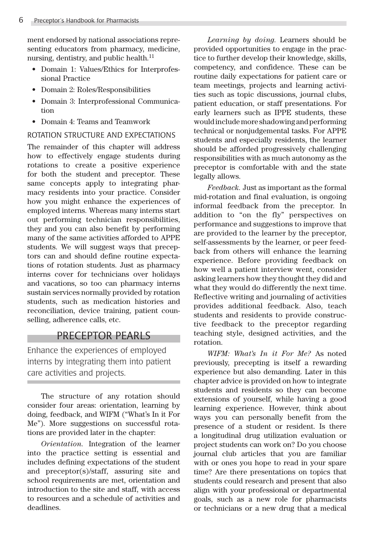ment endorsed by national associations representing educators from pharmacy, medicine, nursing, dentistry, and public health.<sup>11</sup>

- Domain 1: Values/Ethics for Interprofessional Practice
- Domain 2: Roles/Responsibilities
- Domain 3: Interprofessional Communication
- Domain 4: Teams and Teamwork

#### ROTATION STRUCTURE AND EXPECTATIONS

The remainder of this chapter will address how to effectively engage students during rotations to create a positive experience for both the student and preceptor. These same concepts apply to integrating pharmacy residents into your practice. Consider how you might enhance the experiences of employed interns. Whereas many interns start out performing technician responsibilities, they and you can also benefit by performing many of the same activities afforded to APPE students. We will suggest ways that preceptors can and should define routine expectations of rotation students. Just as pharmacy interns cover for technicians over holidays and vacations, so too can pharmacy interns sustain services normally provided by rotation students, such as medication histories and reconciliation, device training, patient counselling, adherence calls, etc.

## PRECEPTOR PEARLS

Enhance the experiences of employed interns by integrating them into patient care activities and projects.

The structure of any rotation should consider four areas: orientation, learning by doing, feedback, and WIFM ("What's In it For Me"). More suggestions on successful rotations are provided later in the chapter:

*Orientation.* Integration of the learner into the practice setting is essential and includes defining expectations of the student and preceptor(s)/staff, assuring site and school requirements are met, orientation and introduction to the site and staff, with access to resources and a schedule of activities and deadlines.

*Learning by doing.* Learners should be provided opportunities to engage in the practice to further develop their knowledge, skills, competency, and confidence. These can be routine daily expectations for patient care or team meetings, projects and learning activities such as topic discussions, journal clubs, patient education, or staff presentations. For early learners such as IPPE students, these would include more shadowing and performing technical or nonjudgemental tasks. For APPE students and especially residents, the learner should be afforded progressively challenging responsibilities with as much autonomy as the preceptor is comfortable with and the state legally allows.

*Feedback.* Just as important as the formal mid-rotation and final evaluation, is ongoing informal feedback from the preceptor. In addition to "on the fly" perspectives on performance and suggestions to improve that are provided to the learner by the preceptor, self-assessments by the learner, or peer feedback from others will enhance the learning experience. Before providing feedback on how well a patient interview went, consider asking learners how they thought they did and what they would do differently the next time. Reflective writing and journaling of activities provides additional feedback. Also, teach students and residents to provide constructive feedback to the preceptor regarding teaching style, designed activities, and the rotation.

*WIFM: What's In it For Me?* As noted previously, precepting is itself a rewarding experience but also demanding. Later in this chapter advice is provided on how to integrate students and residents so they can become extensions of yourself, while having a good learning experience. However, think about ways you can personally benefit from the presence of a student or resident. Is there a longitudinal drug utilization evaluation or project students can work on? Do you choose journal club articles that you are familiar with or ones you hope to read in your spare time? Are there presentations on topics that students could research and present that also align with your professional or departmental goals, such as a new role for pharmacists or technicians or a new drug that a medical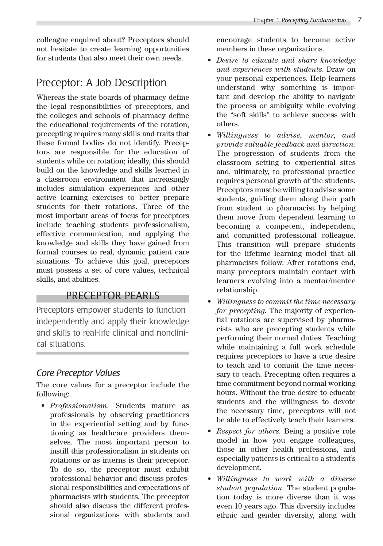colleague enquired about? Preceptors should not hesitate to create learning opportunities for students that also meet their own needs.

## Preceptor: A Job Description

Whereas the state boards of pharmacy define the legal responsibilities of preceptors, and the colleges and schools of pharmacy define the educational requirements of the rotation, precepting requires many skills and traits that these formal bodies do not identify. Preceptors are responsible for the education of students while on rotation; ideally, this should build on the knowledge and skills learned in a classroom environment that increasingly includes simulation experiences and other active learning exercises to better prepare students for their rotations. Three of the most important areas of focus for preceptors include teaching students professionalism, effective communication, and applying the knowledge and skills they have gained from formal courses to real, dynamic patient care situations. To achieve this goal, preceptors must possess a set of core values, technical skills, and abilities.

## PRECEPTOR PEARLS

Preceptors empower students to function independently and apply their knowledge and skills to real-life clinical and nonclinical situations.

#### *Core Preceptor Values*

The core values for a preceptor include the following:

*• Professionalism.* Students mature as professionals by observing practitioners in the experiential setting and by functioning as healthcare providers themselves. The most important person to instill this professionalism in students on rotations or as interns is their preceptor. To do so, the preceptor must exhibit professional behavior and discuss professional responsibilities and expectations of pharmacists with students. The preceptor should also discuss the different professional organizations with students and

encourage students to become active members in these organizations.

- *• Desire to educate and share knowledge and experiences with students*. Draw on your personal experiences. Help learners understand why something is important and develop the ability to navigate the process or ambiguity while evolving the "soft skills" to achieve success with others.
- *• Willingness to advise, mentor, and provide valuable feedback and direction.* The progression of students from the classroom setting to experiential sites and, ultimately, to professional practice requires personal growth of the students. Preceptors must be willing to advise some students, guiding them along their path from student to pharmacist by helping them move from dependent learning to becoming a competent, independent, and committed professional colleague. This transition will prepare students for the lifetime learning model that all pharmacists follow. After rotations end, many preceptors maintain contact with learners evolving into a mentor/mentee relationship.
- *• Willingness to commit the time necessary for precepting.* The majority of experiential rotations are supervised by pharmacists who are precepting students while performing their normal duties. Teaching while maintaining a full work schedule requires preceptors to have a true desire to teach and to commit the time necessary to teach. Precepting often requires a time commitment beyond normal working hours. Without the true desire to educate students and the willingness to devote the necessary time, preceptors will not be able to effectively teach their learners.
- *• Respect for others.* Being a positive role model in how you engage colleagues, those in other health professions, and especially patients is critical to a student's development.
- *• Willingness to work with a diverse student population.* The student population today is more diverse than it was even 10 years ago. This diversity includes ethnic and gender diversity, along with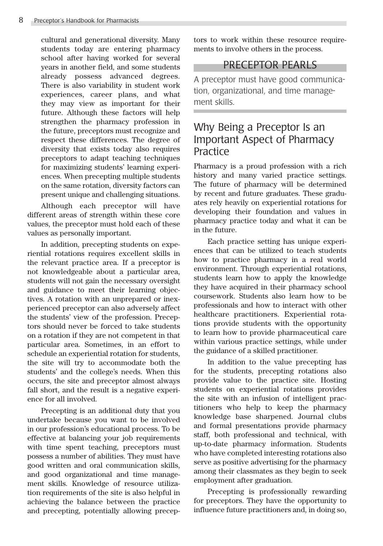cultural and generational diversity. Many students today are entering pharmacy school after having worked for several years in another field, and some students already possess advanced degrees. There is also variability in student work experiences, career plans, and what they may view as important for their future. Although these factors will help strengthen the pharmacy profession in the future, preceptors must recognize and respect these differences. The degree of diversity that exists today also requires preceptors to adapt teaching techniques for maximizing students' learning experiences. When precepting multiple students on the same rotation, diversity factors can present unique and challenging situations.

Although each preceptor will have different areas of strength within these core values, the preceptor must hold each of these values as personally important.

In addition, precepting students on experiential rotations requires excellent skills in the relevant practice area. If a preceptor is not knowledgeable about a particular area, students will not gain the necessary oversight and guidance to meet their learning objectives. A rotation with an unprepared or inexperienced preceptor can also adversely affect the students' view of the profession. Preceptors should never be forced to take students on a rotation if they are not competent in that particular area. Sometimes, in an effort to schedule an experiential rotation for students, the site will try to accommodate both the students' and the college's needs. When this occurs, the site and preceptor almost always fall short, and the result is a negative experience for all involved.

Precepting is an additional duty that you undertake because you want to be involved in our profession's educational process. To be effective at balancing your job requirements with time spent teaching, preceptors must possess a number of abilities. They must have good written and oral communication skills, and good organizational and time management skills. Knowledge of resource utilization requirements of the site is also helpful in achieving the balance between the practice and precepting, potentially allowing preceptors to work within these resource requirements to involve others in the process.

## PRECEPTOR PEARLS

A preceptor must have good communication, organizational, and time management skills.

## Why Being a Preceptor Is an Important Aspect of Pharmacy **Practice**

Pharmacy is a proud profession with a rich history and many varied practice settings. The future of pharmacy will be determined by recent and future graduates. These graduates rely heavily on experiential rotations for developing their foundation and values in pharmacy practice today and what it can be in the future.

Each practice setting has unique experiences that can be utilized to teach students how to practice pharmacy in a real world environment. Through experiential rotations, students learn how to apply the knowledge they have acquired in their pharmacy school coursework. Students also learn how to be professionals and how to interact with other healthcare practitioners. Experiential rotations provide students with the opportunity to learn how to provide pharmaceutical care within various practice settings, while under the guidance of a skilled practitioner.

In addition to the value precepting has for the students, precepting rotations also provide value to the practice site. Hosting students on experiential rotations provides the site with an infusion of intelligent practitioners who help to keep the pharmacy knowledge base sharpened. Journal clubs and formal presentations provide pharmacy staff, both professional and technical, with up-to-date pharmacy information. Students who have completed interesting rotations also serve as positive advertising for the pharmacy among their classmates as they begin to seek employment after graduation.

Precepting is professionally rewarding for preceptors. They have the opportunity to influence future practitioners and, in doing so,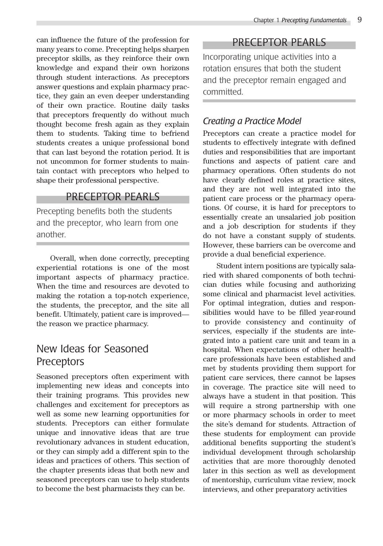can influence the future of the profession for many years to come. Precepting helps sharpen preceptor skills, as they reinforce their own knowledge and expand their own horizons through student interactions. As preceptors answer questions and explain pharmacy practice, they gain an even deeper understanding of their own practice. Routine daily tasks that preceptors frequently do without much thought become fresh again as they explain them to students. Taking time to befriend students creates a unique professional bond that can last beyond the rotation period. It is not uncommon for former students to maintain contact with preceptors who helped to shape their professional perspective.

## PRECEPTOR PEARLS

Precepting benefits both the students and the preceptor, who learn from one another.

Overall, when done correctly, precepting experiential rotations is one of the most important aspects of pharmacy practice. When the time and resources are devoted to making the rotation a top-notch experience, the students, the preceptor, and the site all benefit. Ultimately, patient care is improved the reason we practice pharmacy.

## New Ideas for Seasoned Preceptors

Seasoned preceptors often experiment with implementing new ideas and concepts into their training programs. This provides new challenges and excitement for preceptors as well as some new learning opportunities for students. Preceptors can either formulate unique and innovative ideas that are true revolutionary advances in student education, or they can simply add a different spin to the ideas and practices of others. This section of the chapter presents ideas that both new and seasoned preceptors can use to help students to become the best pharmacists they can be.

## PRECEPTOR PEARLS

Incorporating unique activities into a rotation ensures that both the student and the preceptor remain engaged and committed.

#### *Creating a Practice Model*

Preceptors can create a practice model for students to effectively integrate with defined duties and responsibilities that are important functions and aspects of patient care and pharmacy operations. Often students do not have clearly defined roles at practice sites, and they are not well integrated into the patient care process or the pharmacy operations. Of course, it is hard for preceptors to essentially create an unsalaried job position and a job description for students if they do not have a constant supply of students. However, these barriers can be overcome and provide a dual beneficial experience.

Student intern positions are typically salaried with shared components of both technician duties while focusing and authorizing some clinical and pharmacist level activities. For optimal integration, duties and responsibilities would have to be filled year-round to provide consistency and continuity of services, especially if the students are integrated into a patient care unit and team in a hospital. When expectations of other healthcare professionals have been established and met by students providing them support for patient care services, there cannot be lapses in coverage. The practice site will need to always have a student in that position. This will require a strong partnership with one or more pharmacy schools in order to meet the site's demand for students. Attraction of these students for employment can provide additional benefits supporting the student's individual development through scholarship activities that are more thoroughly denoted later in this section as well as development of mentorship, curriculum vitae review, mock interviews, and other preparatory activities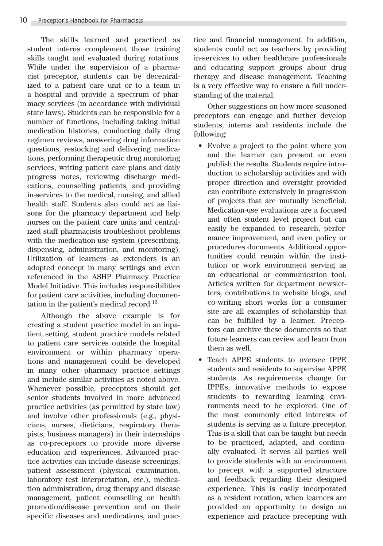The skills learned and practiced as student interns complement those training skills taught and evaluated during rotations. While under the supervision of a pharmacist preceptor, students can be decentralized to a patient care unit or to a team in a hospital and provide a spectrum of pharmacy services (in accordance with individual state laws). Students can be responsible for a number of functions, including taking initial medication histories, conducting daily drug regimen reviews, answering drug information questions, restocking and delivering medications, performing therapeutic drug monitoring services, writing patient care plans and daily progress notes, reviewing discharge medications, counselling patients, and providing in-services to the medical, nursing, and allied health staff. Students also could act as liaisons for the pharmacy department and help nurses on the patient care units and centralized staff pharmacists troubleshoot problems with the medication-use system (prescribing, dispensing, administration, and monitoring). Utilization of learners as extenders is an adopted concept in many settings and even referenced in the ASHP Pharmacy Practice Model Initiative. This includes responsibilities for patient care activities, including documentation in the patient's medical record.<sup>12</sup>

Although the above example is for creating a student practice model in an inpatient setting, student practice models related to patient care services outside the hospital environment or within pharmacy operations and management could be developed in many other pharmacy practice settings and include similar activities as noted above. Whenever possible, preceptors should get senior students involved in more advanced practice activities (as permitted by state law) and involve other professionals (e.g., physicians, nurses, dieticians, respiratory therapists, business managers) in their internships as co-preceptors to provide more diverse education and experiences. Advanced practice activities can include disease screenings, patient assessment (physical examination, laboratory test interpretation, etc.), medication administration, drug therapy and disease management, patient counselling on health promotion/disease prevention and on their specific diseases and medications, and prac-

tice and financial management. In addition, students could act as teachers by providing in-services to other healthcare professionals and educating support groups about drug therapy and disease management. Teaching is a very effective way to ensure a full understanding of the material.

Other suggestions on how more seasoned preceptors can engage and further develop students, interns and residents include the following:

- Evolve a project to the point where you and the learner can present or even publish the results. Students require introduction to scholarship activities and with proper direction and oversight provided can contribute extensively in progression of projects that are mutually beneficial. Medication-use evaluations are a focused and often student level project but can easily be expanded to research, performance improvement, and even policy or procedures documents. Additional opportunities could remain within the institution or work environment serving as an educational or communication tool. Articles written for department newsletters, contributions to website blogs, and co-writing short works for a consumer site are all examples of scholarship that can be fulfilled by a learner. Preceptors can archive these documents so that future learners can review and learn from them as well.
- Teach APPE students to oversee IPPE students and residents to supervise APPE students. As requirements change for IPPEs, innovative methods to expose students to rewarding learning environments need to be explored. One of the most commonly cited interests of students is serving as a future preceptor. This is a skill that can be taught but needs to be practiced, adapted, and continually evaluated. It serves all parties well to provide students with an environment to precept with a supported structure and feedback regarding their designed experience. This is easily incorporated as a resident rotation, when learners are provided an opportunity to design an experience and practice precepting with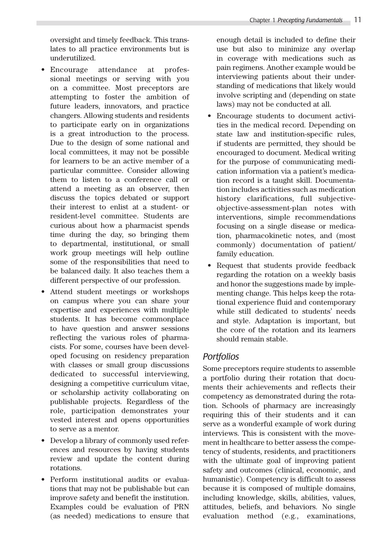oversight and timely feedback. This translates to all practice environments but is underutilized.

- Encourage attendance at professional meetings or serving with you on a committee. Most preceptors are attempting to foster the ambition of future leaders, innovators, and practice changers. Allowing students and residents to participate early on in organizations is a great introduction to the process. Due to the design of some national and local committees, it may not be possible for learners to be an active member of a particular committee. Consider allowing them to listen to a conference call or attend a meeting as an observer, then discuss the topics debated or support their interest to enlist at a student- or resident-level committee. Students are curious about how a pharmacist spends time during the day, so bringing them to departmental, institutional, or small work group meetings will help outline some of the responsibilities that need to be balanced daily. It also teaches them a different perspective of our profession.
- Attend student meetings or workshops on campus where you can share your expertise and experiences with multiple students. It has become commonplace to have question and answer sessions reflecting the various roles of pharmacists. For some, courses have been developed focusing on residency preparation with classes or small group discussions dedicated to successful interviewing, designing a competitive curriculum vitae, or scholarship activity collaborating on publishable projects. Regardless of the role, participation demonstrates your vested interest and opens opportunities to serve as a mentor.
- Develop a library of commonly used references and resources by having students review and update the content during rotations.
- Perform institutional audits or evaluations that may not be publishable but can improve safety and benefit the institution. Examples could be evaluation of PRN (as needed) medications to ensure that

enough detail is included to define their use but also to minimize any overlap in coverage with medications such as pain regimens. Another example would be interviewing patients about their understanding of medications that likely would involve scripting and (depending on state laws) may not be conducted at all.

- Encourage students to document activities in the medical record. Depending on state law and institution-specific rules, if students are permitted, they should be encouraged to document. Medical writing for the purpose of communicating medication information via a patient's medication record is a taught skill. Documentation includes activities such as medication history clarifications, full subjectiveobjective-assessment-plan notes with interventions, simple recommendations focusing on a single disease or medication, pharmacokinetic notes, and (most commonly) documentation of patient/ family education.
- Request that students provide feedback regarding the rotation on a weekly basis and honor the suggestions made by implementing change. This helps keep the rotational experience fluid and contemporary while still dedicated to students' needs and style. Adaptation is important, but the core of the rotation and its learners should remain stable.

#### *Portfolios*

Some preceptors require students to assemble a portfolio during their rotation that documents their achievements and reflects their competency as demonstrated during the rotation. Schools of pharmacy are increasingly requiring this of their students and it can serve as a wonderful example of work during interviews. This is consistent with the movement in healthcare to better assess the competency of students, residents, and practitioners with the ultimate goal of improving patient safety and outcomes (clinical, economic, and humanistic). Competency is difficult to assess because it is composed of multiple domains, including knowledge, skills, abilities, values, attitudes, beliefs, and behaviors. No single evaluation method (e.g., examinations,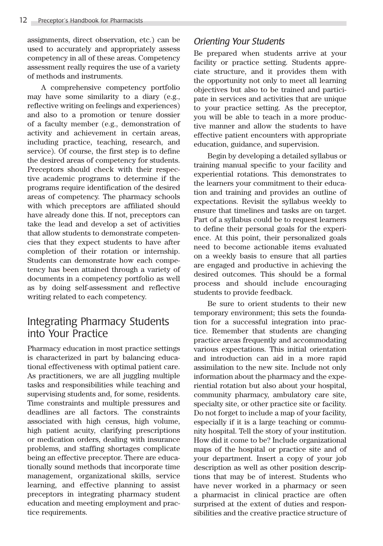assignments, direct observation, etc.) can be used to accurately and appropriately assess competency in all of these areas. Competency assessment really requires the use of a variety of methods and instruments.

A comprehensive competency portfolio may have some similarity to a diary (e.g., reflective writing on feelings and experiences) and also to a promotion or tenure dossier of a faculty member (e.g., demonstration of activity and achievement in certain areas, including practice, teaching, research, and service). Of course, the first step is to define the desired areas of competency for students. Preceptors should check with their respective academic programs to determine if the programs require identification of the desired areas of competency. The pharmacy schools with which preceptors are affiliated should have already done this. If not, preceptors can take the lead and develop a set of activities that allow students to demonstrate competencies that they expect students to have after completion of their rotation or internship. Students can demonstrate how each competency has been attained through a variety of documents in a competency portfolio as well as by doing self-assessment and reflective writing related to each competency.

## Integrating Pharmacy Students into Your Practice

Pharmacy education in most practice settings is characterized in part by balancing educational effectiveness with optimal patient care. As practitioners, we are all juggling multiple tasks and responsibilities while teaching and supervising students and, for some, residents. Time constraints and multiple pressures and deadlines are all factors. The constraints associated with high census, high volume, high patient acuity, clarifying prescriptions or medication orders, dealing with insurance problems, and staffing shortages complicate being an effective preceptor. There are educationally sound methods that incorporate time management, organizational skills, service learning, and effective planning to assist preceptors in integrating pharmacy student education and meeting employment and practice requirements.

#### *Orienting Your Students*

Be prepared when students arrive at your facility or practice setting. Students appreciate structure, and it provides them with the opportunity not only to meet all learning objectives but also to be trained and participate in services and activities that are unique to your practice setting. As the preceptor, you will be able to teach in a more productive manner and allow the students to have effective patient encounters with appropriate education, guidance, and supervision.

Begin by developing a detailed syllabus or training manual specific to your facility and experiential rotations. This demonstrates to the learners your commitment to their education and training and provides an outline of expectations. Revisit the syllabus weekly to ensure that timelines and tasks are on target. Part of a syllabus could be to request learners to define their personal goals for the experience. At this point, their personalized goals need to become actionable items evaluated on a weekly basis to ensure that all parties are engaged and productive in achieving the desired outcomes. This should be a formal process and should include encouraging students to provide feedback.

Be sure to orient students to their new temporary environment; this sets the foundation for a successful integration into practice. Remember that students are changing practice areas frequently and accommodating various expectations. This initial orientation and introduction can aid in a more rapid assimilation to the new site. Include not only information about the pharmacy and the experiential rotation but also about your hospital, community pharmacy, ambulatory care site, specialty site, or other practice site or facility. Do not forget to include a map of your facility, especially if it is a large teaching or community hospital. Tell the story of your institution. How did it come to be? Include organizational maps of the hospital or practice site and of your department. Insert a copy of your job description as well as other position descriptions that may be of interest. Students who have never worked in a pharmacy or seen a pharmacist in clinical practice are often surprised at the extent of duties and responsibilities and the creative practice structure of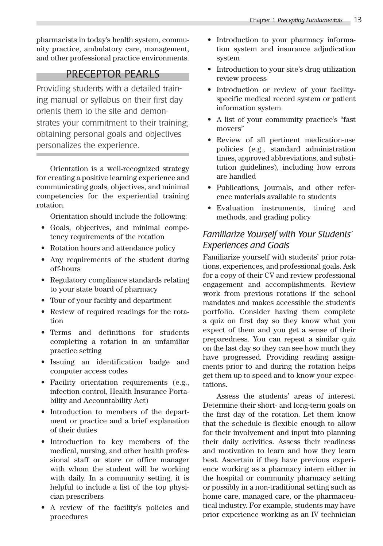pharmacists in today's health system, community practice, ambulatory care, management, and other professional practice environments.

## PRECEPTOR PEARLS

Providing students with a detailed training manual or syllabus on their first day orients them to the site and demonstrates your commitment to their training; obtaining personal goals and objectives personalizes the experience.

Orientation is a well-recognized strategy for creating a positive learning experience and communicating goals, objectives, and minimal competencies for the experiential training rotation.

Orientation should include the following:

- Goals, objectives, and minimal competency requirements of the rotation
- Rotation hours and attendance policy
- Any requirements of the student during off-hours
- Regulatory compliance standards relating to your state board of pharmacy
- Tour of your facility and department
- Review of required readings for the rotation
- Terms and definitions for students completing a rotation in an unfamiliar practice setting
- Issuing an identification badge and computer access codes
- Facility orientation requirements (e.g., infection control, Health Insurance Portability and Accountability Act)
- Introduction to members of the department or practice and a brief explanation of their duties
- Introduction to key members of the medical, nursing, and other health professional staff or store or office manager with whom the student will be working with daily. In a community setting, it is helpful to include a list of the top physician prescribers
- A review of the facility's policies and procedures
- Introduction to your pharmacy information system and insurance adjudication system
- Introduction to your site's drug utilization review process
- Introduction or review of your facilityspecific medical record system or patient information system
- A list of your community practice's "fast movers"
- Review of all pertinent medication-use policies (e.g., standard administration times, approved abbreviations, and substitution guidelines), including how errors are handled
- Publications, journals, and other reference materials available to students
- Evaluation instruments, timing and methods, and grading policy

#### *Familiarize Yourself with Your Students' Experiences and Goals*

Familiarize yourself with students' prior rotations, experiences, and professional goals. Ask for a copy of their CV and review professional engagement and accomplishments. Review work from previous rotations if the school mandates and makes accessible the student's portfolio. Consider having them complete a quiz on first day so they know what you expect of them and you get a sense of their preparedness. You can repeat a similar quiz on the last day so they can see how much they have progressed. Providing reading assignments prior to and during the rotation helps get them up to speed and to know your expectations.

Assess the students' areas of interest. Determine their short- and long-term goals on the first day of the rotation. Let them know that the schedule is flexible enough to allow for their involvement and input into planning their daily activities. Assess their readiness and motivation to learn and how they learn best. Ascertain if they have previous experience working as a pharmacy intern either in the hospital or community pharmacy setting or possibly in a non-traditional setting such as home care, managed care, or the pharmaceutical industry. For example, students may have prior experience working as an IV technician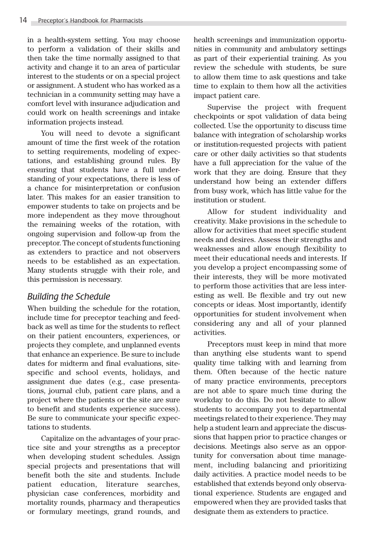in a health-system setting. You may choose to perform a validation of their skills and then take the time normally assigned to that activity and change it to an area of particular interest to the students or on a special project or assignment. A student who has worked as a technician in a community setting may have a comfort level with insurance adjudication and could work on health screenings and intake information projects instead.

You will need to devote a significant amount of time the first week of the rotation to setting requirements, modeling of expectations, and establishing ground rules. By ensuring that students have a full understanding of your expectations, there is less of a chance for misinterpretation or confusion later. This makes for an easier transition to empower students to take on projects and be more independent as they move throughout the remaining weeks of the rotation, with ongoing supervision and follow-up from the preceptor. The concept of students functioning as extenders to practice and not observers needs to be established as an expectation. Many students struggle with their role, and this permission is necessary.

#### *Building the Schedule*

When building the schedule for the rotation, include time for preceptor teaching and feedback as well as time for the students to reflect on their patient encounters, experiences, or projects they complete, and unplanned events that enhance an experience. Be sure to include dates for midterm and final evaluations, sitespecific and school events, holidays, and assignment due dates (e.g., case presentations, journal club, patient care plans, and a project where the patients or the site are sure to benefit and students experience success). Be sure to communicate your specific expectations to students.

Capitalize on the advantages of your practice site and your strengths as a preceptor when developing student schedules. Assign special projects and presentations that will benefit both the site and students. Include patient education, literature searches, physician case conferences, morbidity and mortality rounds, pharmacy and therapeutics or formulary meetings, grand rounds, and health screenings and immunization opportunities in community and ambulatory settings as part of their experiential training. As you review the schedule with students, be sure to allow them time to ask questions and take time to explain to them how all the activities impact patient care.

Supervise the project with frequent checkpoints or spot validation of data being collected. Use the opportunity to discuss time balance with integration of scholarship works or institution-requested projects with patient care or other daily activities so that students have a full appreciation for the value of the work that they are doing. Ensure that they understand how being an extender differs from busy work, which has little value for the institution or student.

Allow for student individuality and creativity. Make provisions in the schedule to allow for activities that meet specific student needs and desires. Assess their strengths and weaknesses and allow enough flexibility to meet their educational needs and interests. If you develop a project encompassing some of their interests, they will be more motivated to perform those activities that are less interesting as well. Be flexible and try out new concepts or ideas. Most importantly, identify opportunities for student involvement when considering any and all of your planned activities.

Preceptors must keep in mind that more than anything else students want to spend quality time talking with and learning from them. Often because of the hectic nature of many practice environments, preceptors are not able to spare much time during the workday to do this. Do not hesitate to allow students to accompany you to departmental meetings related to their experience. They may help a student learn and appreciate the discussions that happen prior to practice changes or decisions. Meetings also serve as an opportunity for conversation about time management, including balancing and prioritizing daily activities. A practice model needs to be established that extends beyond only observational experience. Students are engaged and empowered when they are provided tasks that designate them as extenders to practice.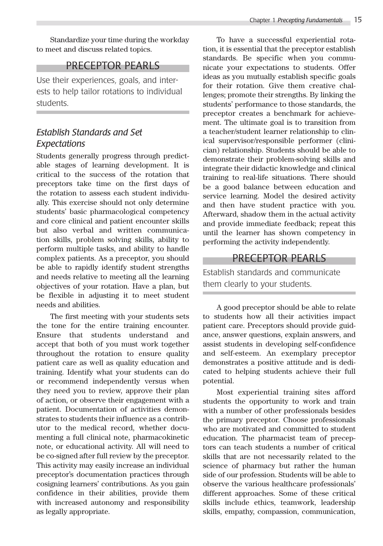Standardize your time during the workday to meet and discuss related topics.

#### PRECEPTOR PEARLS

Use their experiences, goals, and interests to help tailor rotations to individual students.

#### *Establish Standards and Set Expectations*

Students generally progress through predictable stages of learning development. It is critical to the success of the rotation that preceptors take time on the first days of the rotation to assess each student individually. This exercise should not only determine students' basic pharmacological competency and core clinical and patient encounter skills but also verbal and written communication skills, problem solving skills, ability to perform multiple tasks, and ability to handle complex patients. As a preceptor, you should be able to rapidly identify student strengths and needs relative to meeting all the learning objectives of your rotation. Have a plan, but be flexible in adjusting it to meet student needs and abilities.

The first meeting with your students sets the tone for the entire training encounter. Ensure that students understand and accept that both of you must work together throughout the rotation to ensure quality patient care as well as quality education and training. Identify what your students can do or recommend independently versus when they need you to review, approve their plan of action, or observe their engagement with a patient. Documentation of activities demonstrates to students their influence as a contributor to the medical record, whether documenting a full clinical note, pharmacokinetic note, or educational activity. All will need to be co-signed after full review by the preceptor. This activity may easily increase an individual preceptor's documentation practices through cosigning learners' contributions. As you gain confidence in their abilities, provide them with increased autonomy and responsibility as legally appropriate.

To have a successful experiential rotation, it is essential that the preceptor establish standards. Be specific when you communicate your expectations to students. Offer ideas as you mutually establish specific goals for their rotation. Give them creative challenges; promote their strengths. By linking the students' performance to those standards, the preceptor creates a benchmark for achievement. The ultimate goal is to transition from a teacher/student learner relationship to clinical supervisor/responsible performer (clinician) relationship. Students should be able to demonstrate their problem-solving skills and integrate their didactic knowledge and clinical training to real-life situations. There should be a good balance between education and service learning. Model the desired activity and then have student practice with you. Afterward, shadow them in the actual activity and provide immediate feedback; repeat this until the learner has shown competency in performing the activity independently.

## PRECEPTOR PEARLS

Establish standards and communicate them clearly to your students.

A good preceptor should be able to relate to students how all their activities impact patient care. Preceptors should provide guidance, answer questions, explain answers, and assist students in developing self-confidence and self-esteem. An exemplary preceptor demonstrates a positive attitude and is dedicated to helping students achieve their full potential.

Most experiential training sites afford students the opportunity to work and train with a number of other professionals besides the primary preceptor. Choose professionals who are motivated and committed to student education. The pharmacist team of preceptors can teach students a number of critical skills that are not necessarily related to the science of pharmacy but rather the human side of our profession. Students will be able to observe the various healthcare professionals' different approaches. Some of these critical skills include ethics, teamwork, leadership skills, empathy, compassion, communication,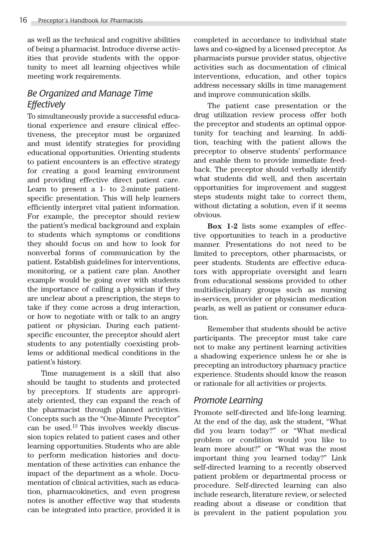as well as the technical and cognitive abilities of being a pharmacist. Introduce diverse activities that provide students with the opportunity to meet all learning objectives while meeting work requirements.

#### *Be Organized and Manage Time Effectively*

To simultaneously provide a successful educational experience and ensure clinical effectiveness, the preceptor must be organized and must identify strategies for providing educational opportunities. Orienting students to patient encounters is an effective strategy for creating a good learning environment and providing effective direct patient care. Learn to present a 1- to 2-minute patientspecific presentation. This will help learners efficiently interpret vital patient information. For example, the preceptor should review the patient's medical background and explain to students which symptoms or conditions they should focus on and how to look for nonverbal forms of communication by the patient. Establish guidelines for interventions, monitoring, or a patient care plan. Another example would be going over with students the importance of calling a physician if they are unclear about a prescription, the steps to take if they come across a drug interaction, or how to negotiate with or talk to an angry patient or physician. During each patientspecific encounter, the preceptor should alert students to any potentially coexisting problems or additional medical conditions in the patient's history.

Time management is a skill that also should be taught to students and protected by preceptors. If students are appropriately oriented, they can expand the reach of the pharmacist through planned activities. Concepts such as the "One-Minute Preceptor" can be used.13 This involves weekly discussion topics related to patient cases and other learning opportunities. Students who are able to perform medication histories and documentation of these activities can enhance the impact of the department as a whole. Documentation of clinical activities, such as education, pharmacokinetics, and even progress notes is another effective way that students can be integrated into practice, provided it is completed in accordance to individual state laws and co-signed by a licensed preceptor. As pharmacists pursue provider status, objective activities such as documentation of clinical interventions, education, and other topics address necessary skills in time management and improve communication skills.

The patient case presentation or the drug utilization review process offer both the preceptor and students an optimal opportunity for teaching and learning. In addition, teaching with the patient allows the preceptor to observe students' performance and enable them to provide immediate feedback. The preceptor should verbally identify what students did well, and then ascertain opportunities for improvement and suggest steps students might take to correct them, without dictating a solution, even if it seems obvious.

**Box 1-2** lists some examples of effective opportunities to teach in a productive manner. Presentations do not need to be limited to preceptors, other pharmacists, or peer students. Students are effective educators with appropriate oversight and learn from educational sessions provided to other multidisciplinary groups such as nursing in-services, provider or physician medication pearls, as well as patient or consumer education.

Remember that students should be active participants. The preceptor must take care not to make any pertinent learning activities a shadowing experience unless he or she is precepting an introductory pharmacy practice experience. Students should know the reason or rationale for all activities or projects.

#### *Promote Learning*

Promote self-directed and life-long learning. At the end of the day, ask the student, "What did you learn today?" or "What medical problem or condition would you like to learn more about?" or "What was the most important thing you learned today?" Link self-directed learning to a recently observed patient problem or departmental process or procedure. Self-directed learning can also include research, literature review, or selected reading about a disease or condition that is prevalent in the patient population you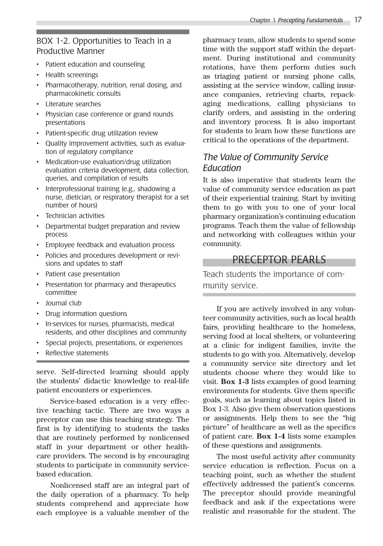#### BOX 1-2. Opportunities to Teach in a Productive Manner

- Patient education and counseling
- Health screenings
- Pharmacotherapy, nutrition, renal dosing, and pharmacokinetic consults
- Literature searches
- Physician case conference or grand rounds presentations
- Patient-specific drug utilization review
- Quality improvement activities, such as evaluation of regulatory compliance
- Medication-use evaluation/drug utilization evaluation criteria development, data collection, queries, and compilation of results
- Interprofessional training (e.g., shadowing a nurse, dietician, or respiratory therapist for a set number of hours)
- Technician activities
- Departmental budget preparation and review process
- Employee feedback and evaluation process
- Policies and procedures development or revisions and updates to staff
- Patient case presentation
- Presentation for pharmacy and therapeutics committee
- Journal club
- Drug information questions
- In-services for nurses, pharmacists, medical residents, and other disciplines and community
- Special projects, presentations, or experiences
- Reflective statements

serve. Self-directed learning should apply the students' didactic knowledge to real-life patient encounters or experiences.

Service-based education is a very effective teaching tactic. There are two ways a preceptor can use this teaching strategy. The first is by identifying to students the tasks that are routinely performed by nonlicensed staff in your department or other healthcare providers. The second is by encouraging students to participate in community servicebased education.

Nonlicensed staff are an integral part of the daily operation of a pharmacy. To help students comprehend and appreciate how each employee is a valuable member of the pharmacy team, allow students to spend some time with the support staff within the department. During institutional and community rotations, have them perform duties such as triaging patient or nursing phone calls, assisting at the service window, calling insurance companies, retrieving charts, repackaging medications, calling physicians to clarify orders, and assisting in the ordering and inventory process. It is also important for students to learn how these functions are critical to the operations of the department.

#### *The Value of Community Service Education*

It is also imperative that students learn the value of community service education as part of their experiential training. Start by inviting them to go with you to one of your local pharmacy organization's continuing education programs. Teach them the value of fellowship and networking with colleagues within your community.

#### PRECEPTOR PEARLS

Teach students the importance of community service.

If you are actively involved in any volunteer community activities, such as local health fairs, providing healthcare to the homeless, serving food at local shelters, or volunteering at a clinic for indigent families, invite the students to go with you. Alternatively, develop a community service site directory and let students choose where they would like to visit. **Box 1-3** lists examples of good learning environments for students. Give them specific goals, such as learning about topics listed in Box 1-3. Also give them observation questions or assignments. Help them to see the "big picture" of healthcare as well as the specifics of patient care. **Box 1-4** lists some examples of these questions and assignments.

The most useful activity after community service education is reflection. Focus on a teaching point, such as whether the student effectively addressed the patient's concerns. The preceptor should provide meaningful feedback and ask if the expectations were realistic and reasonable for the student. The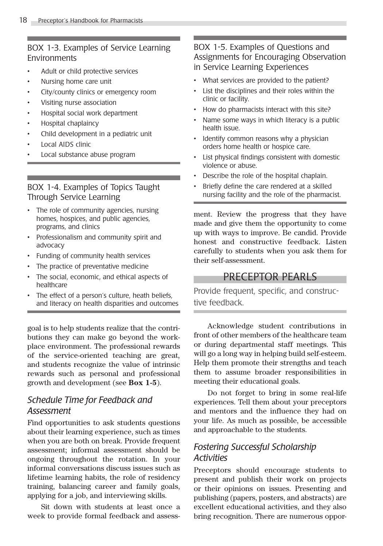#### BOX 1-3. Examples of Service Learning **Environments**

- Adult or child protective services
- Nursing home care unit
- City/county clinics or emergency room
- Visiting nurse association
- Hospital social work department
- Hospital chaplaincy
- Child development in a pediatric unit
- Local AIDS clinic
- Local substance abuse program

BOX 1-4. Examples of Topics Taught Through Service Learning

- The role of community agencies, nursing homes, hospices, and public agencies, programs, and clinics
- Professionalism and community spirit and advocacy
- Funding of community health services
- The practice of preventative medicine
- The social, economic, and ethical aspects of healthcare
- The effect of a person's culture, heath beliefs, and literacy on health disparities and outcomes

goal is to help students realize that the contributions they can make go beyond the workplace environment. The professional rewards of the service-oriented teaching are great, and students recognize the value of intrinsic rewards such as personal and professional growth and development (see **Box 1-5**).

#### *Schedule Time for Feedback and Assessment*

Find opportunities to ask students questions about their learning experience, such as times when you are both on break. Provide frequent assessment; informal assessment should be ongoing throughout the rotation. In your informal conversations discuss issues such as lifetime learning habits, the role of residency training, balancing career and family goals, applying for a job, and interviewing skills.

Sit down with students at least once a week to provide formal feedback and assess-

#### BOX 1-5. Examples of Questions and Assignments for Encouraging Observation in Service Learning Experiences

- What services are provided to the patient?
- List the disciplines and their roles within the clinic or facility.
- How do pharmacists interact with this site?
- Name some ways in which literacy is a public health issue.
- Identify common reasons why a physician orders home health or hospice care.
- List physical findings consistent with domestic violence or abuse.
- Describe the role of the hospital chaplain.
- Briefly define the care rendered at a skilled nursing facility and the role of the pharmacist.

ment. Review the progress that they have made and give them the opportunity to come up with ways to improve. Be candid. Provide honest and constructive feedback. Listen carefully to students when you ask them for their self-assessment.

## PRECEPTOR PEARLS

Provide frequent, specific, and constructive feedback.

Acknowledge student contributions in front of other members of the healthcare team or during departmental staff meetings. This will go a long way in helping build self-esteem. Help them promote their strengths and teach them to assume broader responsibilities in meeting their educational goals.

Do not forget to bring in some real-life experiences. Tell them about your preceptors and mentors and the influence they had on your life. As much as possible, be accessible and approachable to the students.

## *Fostering Successful Scholarship Activities*

Preceptors should encourage students to present and publish their work on projects or their opinions on issues. Presenting and publishing (papers, posters, and abstracts) are excellent educational activities, and they also bring recognition. There are numerous oppor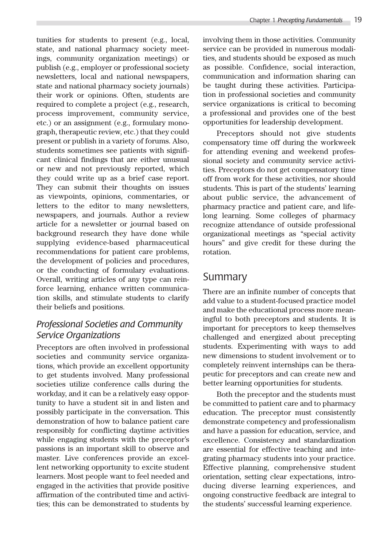tunities for students to present (e.g., local, state, and national pharmacy society meetings, community organization meetings) or publish (e.g., employer or professional society newsletters, local and national newspapers, state and national pharmacy society journals) their work or opinions. Often, students are required to complete a project (e.g., research, process improvement, community service, etc.) or an assignment (e.g., formulary monograph, therapeutic review, etc.) that they could present or publish in a variety of forums. Also, students sometimes see patients with significant clinical findings that are either unusual or new and not previously reported, which they could write up as a brief case report. They can submit their thoughts on issues as viewpoints, opinions, commentaries, or letters to the editor to many newsletters, newspapers, and journals. Author a review article for a newsletter or journal based on background research they have done while supplying evidence-based pharmaceutical recommendations for patient care problems, the development of policies and procedures, or the conducting of formulary evaluations. Overall, writing articles of any type can reinforce learning, enhance written communication skills, and stimulate students to clarify their beliefs and positions.

#### *Professional Societies and Community Service Organizations*

Preceptors are often involved in professional societies and community service organizations, which provide an excellent opportunity to get students involved. Many professional societies utilize conference calls during the workday, and it can be a relatively easy opportunity to have a student sit in and listen and possibly participate in the conversation. This demonstration of how to balance patient care responsibly for conflicting daytime activities while engaging students with the preceptor's passions is an important skill to observe and master. Live conferences provide an excellent networking opportunity to excite student learners. Most people want to feel needed and engaged in the activities that provide positive affirmation of the contributed time and activities; this can be demonstrated to students by involving them in those activities. Community service can be provided in numerous modalities, and students should be exposed as much as possible. Confidence, social interaction, communication and information sharing can be taught during these activities. Participation in professional societies and community service organizations is critical to becoming a professional and provides one of the best opportunities for leadership development.

Preceptors should not give students compensatory time off during the workweek for attending evening and weekend professional society and community service activities. Preceptors do not get compensatory time off from work for these activities, nor should students. This is part of the students' learning about public service, the advancement of pharmacy practice and patient care, and lifelong learning. Some colleges of pharmacy recognize attendance of outside professional organizational meetings as "special activity hours" and give credit for these during the rotation.

#### **Summary**

There are an infinite number of concepts that add value to a student-focused practice model and make the educational process more meaningful to both preceptors and students. It is important for preceptors to keep themselves challenged and energized about precepting students. Experimenting with ways to add new dimensions to student involvement or to completely reinvent internships can be therapeutic for preceptors and can create new and better learning opportunities for students.

Both the preceptor and the students must be committed to patient care and to pharmacy education. The preceptor must consistently demonstrate competency and professionalism and have a passion for education, service, and excellence. Consistency and standardization are essential for effective teaching and integrating pharmacy students into your practice. Effective planning, comprehensive student orientation, setting clear expectations, introducing diverse learning experiences, and ongoing constructive feedback are integral to the students' successful learning experience.